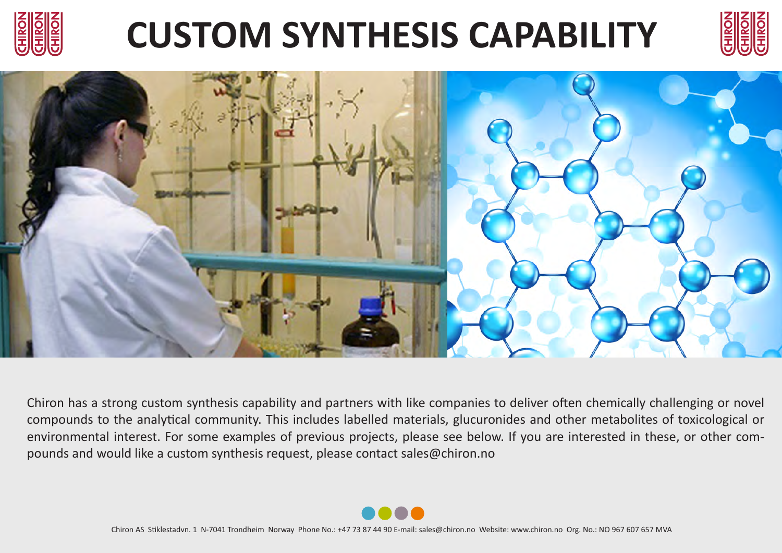

## **CUSTOM SYNTHESIS CAPABILITY**





Chiron has a strong custom synthesis capability and partners with like companies to deliver often chemically challenging or novel compounds to the analytical community. This includes labelled materials, glucuronides and other metabolites of toxicological or environmental interest. For some examples of previous projects, please see below. If you are interested in these, or other compounds and would like a custom synthesis request, please contact sales@chiron.no

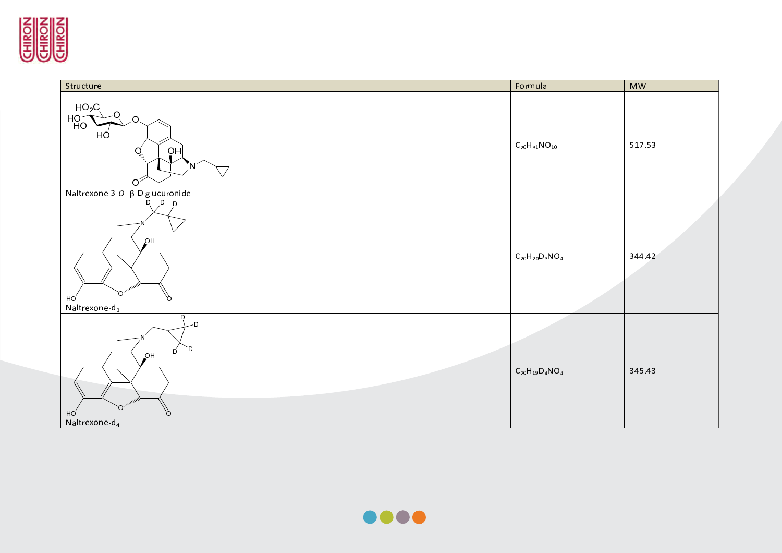



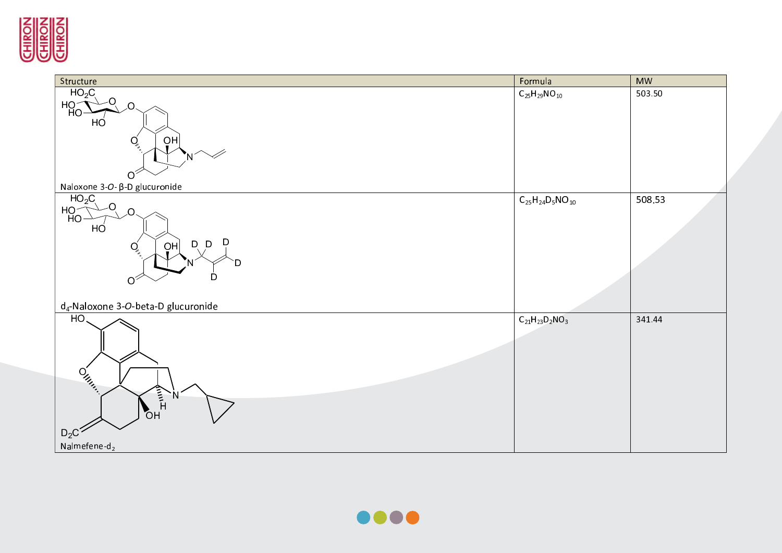

| Structure                                                                                                         | Formula                  | <b>MW</b> |
|-------------------------------------------------------------------------------------------------------------------|--------------------------|-----------|
| $HO_2C$<br>-O<br>H <sub>O</sub><br>O.<br>HÓ<br>OH<br>$\overline{Q}$<br>N<br>$O^2$                                 | $C_{25}H_{29}NO_{10}$    | 503.50    |
| Naloxone 3-O- β-D glucuronide                                                                                     |                          |           |
| HO <sub>2</sub> C<br>O<br>$H_O$<br>$\Omega$<br>HO<br>D<br>D, D<br>OH<br>Q<br>D<br>D<br>$O^2$                      | $C_{25}H_{24}D_5NO_{10}$ | 508.53    |
| d <sub>4</sub> -Naloxone 3-O-beta-D glucuronide                                                                   |                          |           |
| HO.<br>$O_{\mu_{\ell_{\ell_{\ell}}}}$<br>$\langle$<br>N<br>O <sub>H</sub><br>$D_2C^2$<br>Nalmefene-d <sub>2</sub> | $C_{21}H_{23}D_2NO_3$    | 341.44    |
|                                                                                                                   |                          |           |

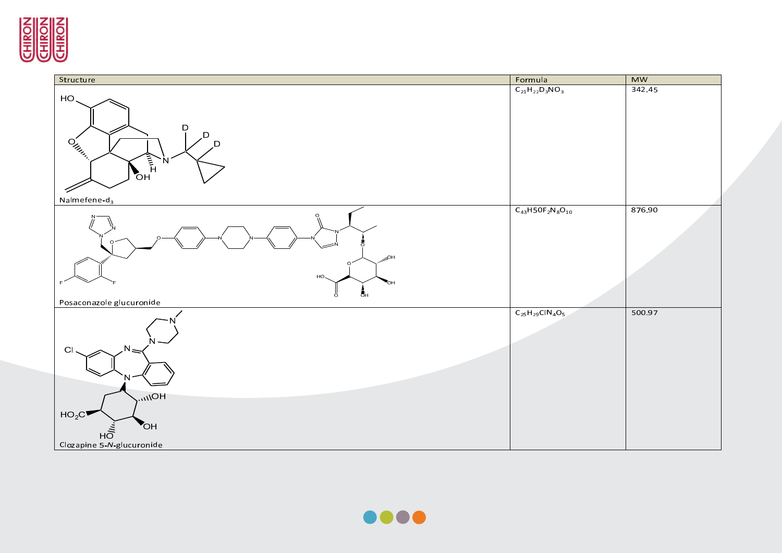

| Structure                                                                                                                                            | Formula                 | <b>MW</b> |
|------------------------------------------------------------------------------------------------------------------------------------------------------|-------------------------|-----------|
| HO.<br><b>D</b><br>D<br>$\mathrm{o}'_{\mu_{\mu_{\mu_{\alpha}}}}$<br>D<br>$\sum_{n=1}^{\infty}$<br>N<br>Nalmefene-d <sub>3</sub>                      | $C_{21}H_{22}D_3NO_3$   | 342.45    |
| $HO_{lin}$<br>HO.<br>$\overline{5}$ н<br>ö<br>Posaconazole glucuronide                                                                               | $C_{43}H50F_2N_8O_{10}$ | 876.90    |
| Ν.<br>$\overline{C}$<br>$H$ O/ $\mu$ <sub><math>\mu</math></sub><br>HO <sub>2</sub> C<br>OH<br>н $\bar{\tilde{\sigma}}$<br>Clozapine 5-N-glucuronide | $C_{25}H_{29}CIN_4O_5$  | 500.97    |

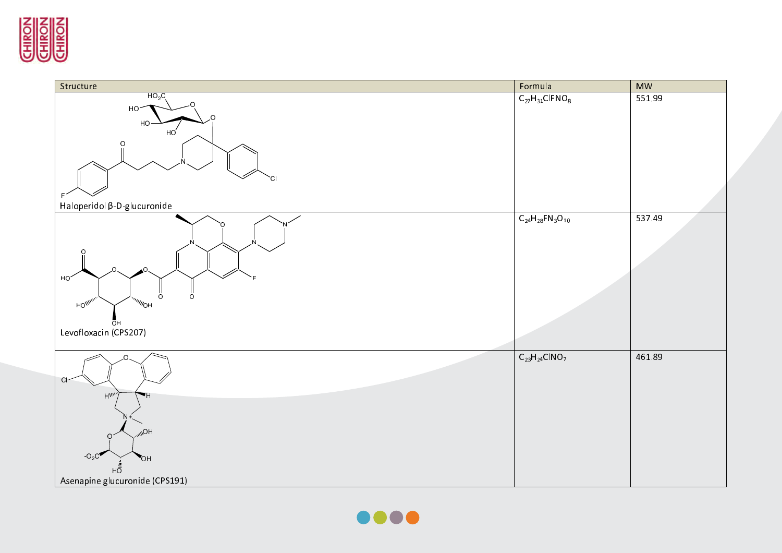